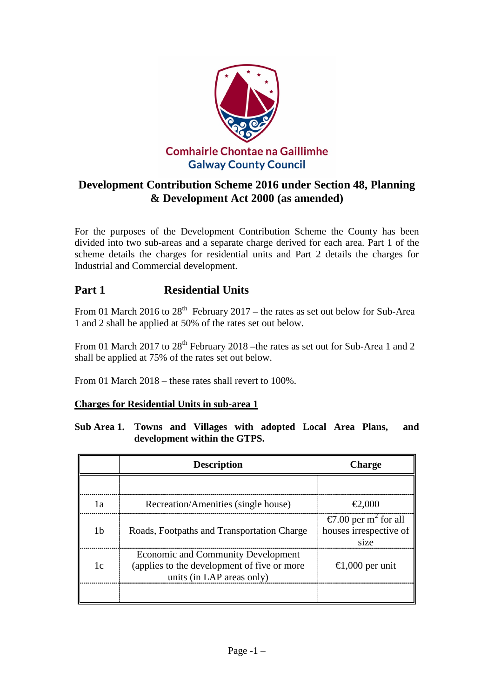

# **Development Contribution Scheme 2016 under Section 48, Planning & Development Act 2000 (as amended)**

For the purposes of the Development Contribution Scheme the County has been divided into two sub-areas and a separate charge derived for each area. Part 1 of the scheme details the charges for residential units and Part 2 details the charges for Industrial and Commercial development.

## **Part 1 Residential Units**

From 01 March 2016 to  $28<sup>th</sup>$  February 2017 – the rates as set out below for Sub-Area 1 and 2 shall be applied at 50% of the rates set out below.

From 01 March 2017 to 28<sup>th</sup> February 2018 –the rates as set out for Sub-Area 1 and 2 shall be applied at 75% of the rates set out below.

From 01 March 2018 – these rates shall revert to 100%.

### **Charges for Residential Units in sub-area 1**

**Sub Area 1. Towns and Villages with adopted Local Area Plans, and development within the GTPS.**

|                | <b>Description</b>                                                                                                    | <b>Charge</b>                                                               |
|----------------|-----------------------------------------------------------------------------------------------------------------------|-----------------------------------------------------------------------------|
|                |                                                                                                                       |                                                                             |
| 1a             | Recreation/Amenities (single house)                                                                                   | €2,000                                                                      |
| 1 <sub>b</sub> | Roads, Footpaths and Transportation Charge                                                                            | $\epsilon$ .00 per m <sup>2</sup> for all<br>houses irrespective of<br>size |
| 1c             | <b>Economic and Community Development</b><br>(applies to the development of five or more<br>units (in LAP areas only) | $\bigoplus$ ,000 per unit                                                   |
|                |                                                                                                                       |                                                                             |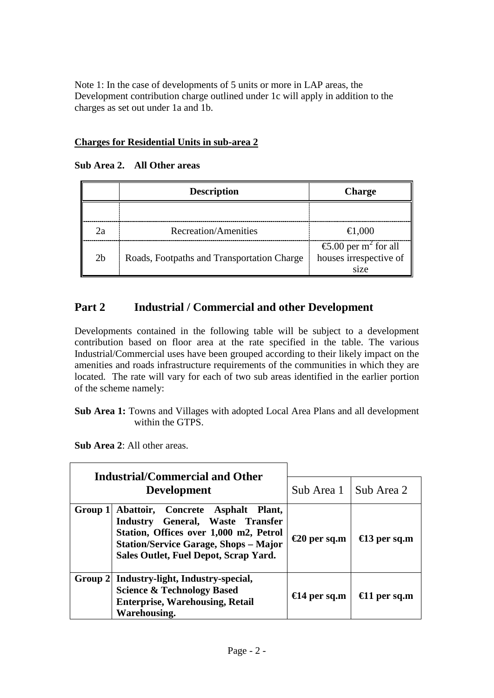Note 1: In the case of developments of 5 units or more in LAP areas, the Development contribution charge outlined under 1c will apply in addition to the charges as set out under 1a and 1b.

### **Charges for Residential Units in sub-area 2**

#### **Sub Area 2. All Other areas**

|                | <b>Description</b>                         | <b>Charge</b>                                                     |  |
|----------------|--------------------------------------------|-------------------------------------------------------------------|--|
|                |                                            |                                                                   |  |
| 2a             | Recreation/Amenities                       | $\bigoplus$ ,000                                                  |  |
| 2 <sub>b</sub> | Roads, Footpaths and Transportation Charge | €.00 per m <sup>2</sup> for all<br>houses irrespective of<br>size |  |

## **Part 2 Industrial / Commercial and other Development**

Developments contained in the following table will be subject to a development contribution based on floor area at the rate specified in the table. The various Industrial/Commercial uses have been grouped according to their likely impact on the amenities and roads infrastructure requirements of the communities in which they are located. The rate will vary for each of two sub areas identified in the earlier portion of the scheme namely:

**Sub Area 1:** Towns and Villages with adopted Local Area Plans and all development within the GTPS.

**Sub Area 2**: All other areas.

| <b>Industrial/Commercial and Other</b><br><b>Development</b> |                                                                                                                                                                                                                |                        |                        |
|--------------------------------------------------------------|----------------------------------------------------------------------------------------------------------------------------------------------------------------------------------------------------------------|------------------------|------------------------|
|                                                              |                                                                                                                                                                                                                | Sub Area 1             | Sub Area 2             |
| Group 1                                                      | Abattoir, Concrete<br>Asphalt<br>Plant,<br>Industry General, Waste Transfer<br>Station, Offices over 1,000 m2, Petrol<br><b>Station/Service Garage, Shops - Major</b><br>Sales Outlet, Fuel Depot, Scrap Yard. | €20 per sq.m           | $\bigoplus$ 3 per sq.m |
|                                                              | Group 2 Industry-light, Industry-special,<br><b>Science &amp; Technology Based</b><br><b>Enterprise, Warehousing, Retail</b><br>Warehousing.                                                                   | $\bigoplus$ 4 per sq.m | $\bigoplus$ 1 per sq.m |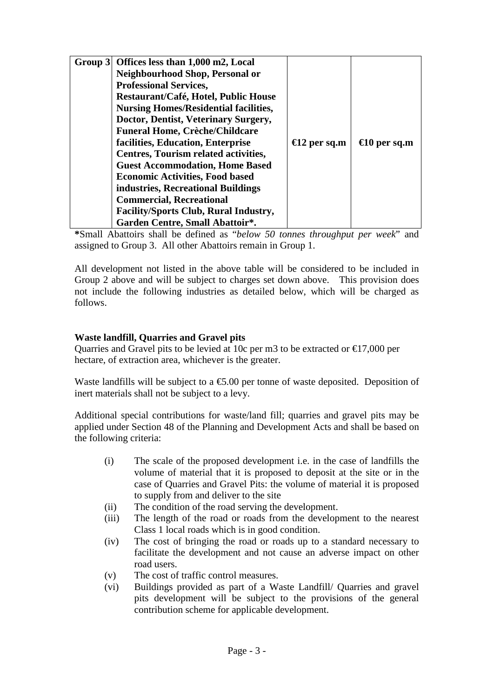| Group 3 Offices less than 1,000 m2, Local    |                        |                      |
|----------------------------------------------|------------------------|----------------------|
| <b>Neighbourhood Shop, Personal or</b>       |                        |                      |
| <b>Professional Services,</b>                |                        |                      |
| Restaurant/Café, Hotel, Public House         |                        |                      |
| <b>Nursing Homes/Residential facilities,</b> |                        |                      |
| Doctor, Dentist, Veterinary Surgery,         |                        |                      |
| <b>Funeral Home, Crèche/Childcare</b>        |                        |                      |
| facilities, Education, Enterprise            | $\triangle$ 2 per sq.m | $\bigoplus$ per sq.m |
| Centres, Tourism related activities,         |                        |                      |
| <b>Guest Accommodation, Home Based</b>       |                        |                      |
| <b>Economic Activities, Food based</b>       |                        |                      |
| industries, Recreational Buildings           |                        |                      |
| <b>Commercial, Recreational</b>              |                        |                      |
| <b>Facility/Sports Club, Rural Industry,</b> |                        |                      |
| Garden Centre, Small Abattoir*.              |                        |                      |

**\***Small Abattoirs shall be defined as "*below 50 tonnes throughput per week*" and assigned to Group 3. All other Abattoirs remain in Group 1.

All development not listed in the above table will be considered to be included in Group 2 above and will be subject to charges set down above. This provision does not include the following industries as detailed below, which will be charged as follows.

### **Waste landfill, Quarries and Gravel pits**

Quarries and Gravel pits to be levied at 10c per m3 to be extracted or  $\bigoplus$  7,000 per hectare, of extraction area, whichever is the greater.

Waste landfills will be subject to a  $\epsilon$ 5.00 per tonne of waste deposited. Deposition of inert materials shall not be subject to a levy.

Additional special contributions for waste/land fill; quarries and gravel pits may be applied under Section 48 of the Planning and Development Acts and shall be based on the following criteria:

- (i) The scale of the proposed development i.e. in the case of landfills the volume of material that it is proposed to deposit at the site or in the case of Quarries and Gravel Pits: the volume of material it is proposed to supply from and deliver to the site
- (ii) The condition of the road serving the development.
- (iii) The length of the road or roads from the development to the nearest Class 1 local roads which is in good condition.
- (iv) The cost of bringing the road or roads up to a standard necessary to facilitate the development and not cause an adverse impact on other road users.
- (v) The cost of traffic control measures.
- (vi) Buildings provided as part of a Waste Landfill/ Quarries and gravel pits development will be subject to the provisions of the general contribution scheme for applicable development.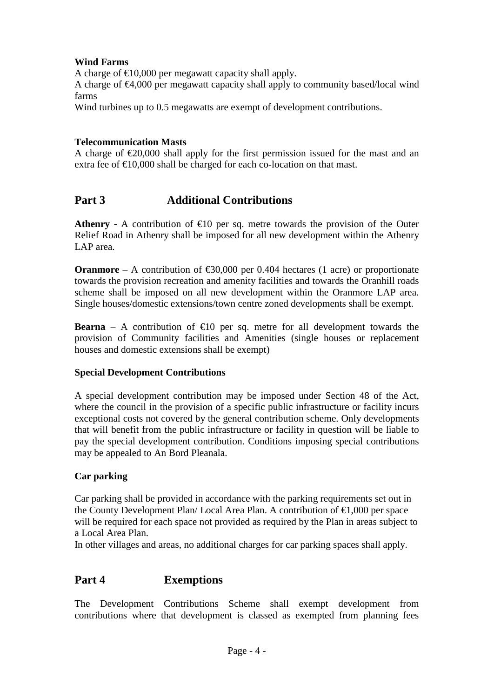### **Wind Farms**

A charge of  $\text{E}10,000$  per megawatt capacity shall apply.

A charge of €4,000 per megawatt capacity shall apply to community based/local wind farms

Wind turbines up to 0.5 megawatts are exempt of development contributions.

### **Telecommunication Masts**

A charge of  $\epsilon$ 20,000 shall apply for the first permission issued for the mast and an extra fee of  $\text{€10,000}$  shall be charged for each co-location on that mast.

# **Part 3 Additional Contributions**

**Athenry -** A contribution of  $\bigoplus$  per sq. metre towards the provision of the Outer Relief Road in Athenry shall be imposed for all new development within the Athenry LAP area.

**Oranmore** – A contribution of  $\epsilon$ 30,000 per 0.404 hectares (1 acre) or proportionate towards the provision recreation and amenity facilities and towards the Oranhill roads scheme shall be imposed on all new development within the Oranmore LAP area. Single houses/domestic extensions/town centre zoned developments shall be exempt.

**Bearna** – A contribution of  $\bigoplus$  per sq. metre for all development towards the provision of Community facilities and Amenities (single houses or replacement houses and domestic extensions shall be exempt)

### **Special Development Contributions**

A special development contribution may be imposed under Section 48 of the Act, where the council in the provision of a specific public infrastructure or facility incurs exceptional costs not covered by the general contribution scheme. Only developments that will benefit from the public infrastructure or facility in question will be liable to pay the special development contribution. Conditions imposing special contributions may be appealed to An Bord Pleanala.

### **Car parking**

Car parking shall be provided in accordance with the parking requirements set out in the County Development Plan/ Local Area Plan. A contribution of  $\in$  0.000 per space will be required for each space not provided as required by the Plan in areas subject to a Local Area Plan.

In other villages and areas, no additional charges for car parking spaces shall apply.

### **Part 4 Exemptions**

The Development Contributions Scheme shall exempt development from contributions where that development is classed as exempted from planning fees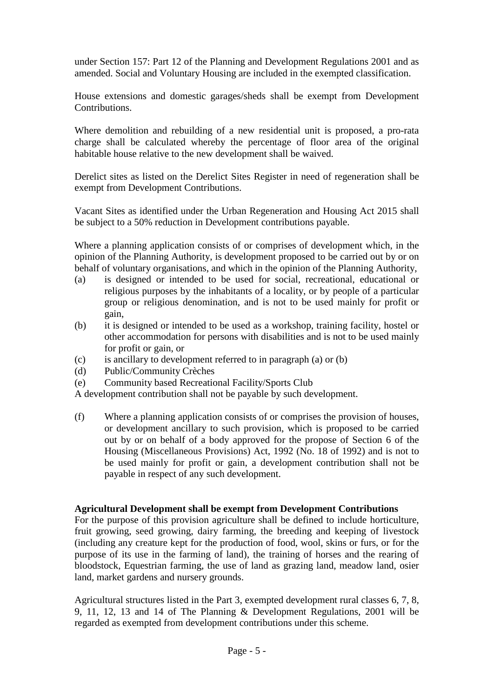under Section 157: Part 12 of the Planning and Development Regulations 2001 and as amended. Social and Voluntary Housing are included in the exempted classification.

House extensions and domestic garages/sheds shall be exempt from Development **Contributions** 

Where demolition and rebuilding of a new residential unit is proposed, a pro-rata charge shall be calculated whereby the percentage of floor area of the original habitable house relative to the new development shall be waived.

Derelict sites as listed on the Derelict Sites Register in need of regeneration shall be exempt from Development Contributions.

Vacant Sites as identified under the Urban Regeneration and Housing Act 2015 shall be subject to a 50% reduction in Development contributions payable.

Where a planning application consists of or comprises of development which, in the opinion of the Planning Authority, is development proposed to be carried out by or on behalf of voluntary organisations, and which in the opinion of the Planning Authority,

- (a) is designed or intended to be used for social, recreational, educational or religious purposes by the inhabitants of a locality, or by people of a particular group or religious denomination, and is not to be used mainly for profit or gain,
- (b) it is designed or intended to be used as a workshop, training facility, hostel or other accommodation for persons with disabilities and is not to be used mainly for profit or gain, or
- (c) is ancillary to development referred to in paragraph (a) or (b)
- (d) Public/Community Crèches
- (e) Community based Recreational Facility/Sports Club

A development contribution shall not be payable by such development.

(f) Where a planning application consists of or comprises the provision of houses, or development ancillary to such provision, which is proposed to be carried out by or on behalf of a body approved for the propose of Section 6 of the Housing (Miscellaneous Provisions) Act, 1992 (No. 18 of 1992) and is not to be used mainly for profit or gain, a development contribution shall not be payable in respect of any such development.

#### **Agricultural Development shall be exempt from Development Contributions**

For the purpose of this provision agriculture shall be defined to include horticulture, fruit growing, seed growing, dairy farming, the breeding and keeping of livestock (including any creature kept for the production of food, wool, skins or furs, or for the purpose of its use in the farming of land), the training of horses and the rearing of bloodstock, Equestrian farming, the use of land as grazing land, meadow land, osier land, market gardens and nursery grounds.

Agricultural structures listed in the Part 3, exempted development rural classes 6, 7, 8, 9, 11, 12, 13 and 14 of The Planning & Development Regulations, 2001 will be regarded as exempted from development contributions under this scheme.